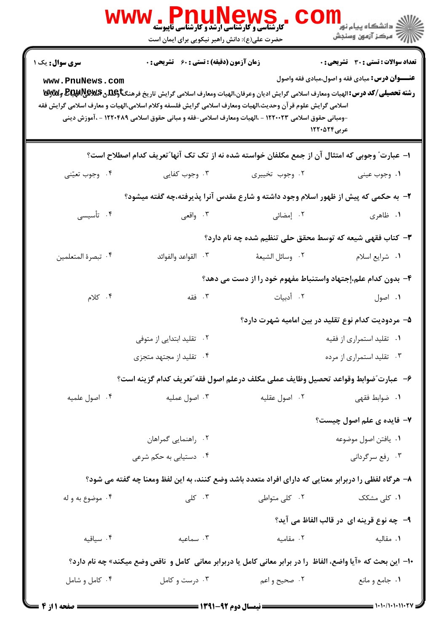|                                                                                                                | ، Pnunews ، المسلم المسلم المسلم المسلم المسلم المسلم المسلم المسلم المسلم المسلم المسلم المسلم المس<br>كارشناسي و كارشناسي أرشد و كارشناسي تاپيوشه<br>حضرت علی(ع): دانش راهبر نیکویی برای ایمان است                                                                                                                                                              |                                                              | ڪ دانشڪاه پيا <sub>م</sub> نور<br>7 مرڪز آزمون وسنڊش                                                  |  |
|----------------------------------------------------------------------------------------------------------------|-------------------------------------------------------------------------------------------------------------------------------------------------------------------------------------------------------------------------------------------------------------------------------------------------------------------------------------------------------------------|--------------------------------------------------------------|-------------------------------------------------------------------------------------------------------|--|
| <b>سری سوال :</b> یک ۱<br>www.PnuNews.com                                                                      | <b>زمان آزمون (دقیقه) : تستی : 60 ٪ تشریحی : 0</b>                                                                                                                                                                                                                                                                                                                |                                                              | <b>تعداد سوالات : تستي : 30 ٪ تشريحي : 0</b><br><b>عنـــوان درس:</b> مبادی فقه و اصول،مبادی فقه واصول |  |
|                                                                                                                | <b>رشته تحصیلی/کد درس: ا</b> لهیات ومعارف اسلامی گرایش ادیان وعرفان،الهیات ومعارف اسلامی گرایش تاریخ فرهنگ <b>تاوگلدن BEپRپوچیالی وگلاوتا</b><br>اسلامی گرایش علوم قر آن وحدیث،الهیات ومعارف اسلامی گرایش فلسفه وکلام اسلامی،الهیات و معارف اسلامی گرایش فقه<br>-ومبانی حقوق اسلامی ۱۲۲۰۰۲۳ - ،الهیات ومعارف اسلامی-فقه و مبانی حقوق اسلامی ۱۲۲۰۴۸۹ - ،آموزش دینی | عربی12000 1                                                  |                                                                                                       |  |
| ا– عبارت ؒ وجوبی که امتثال آن از جمع مکلفان خواسته شده نه از تک تک آنها ؒ تعریف کدام اصطلاح است؟               |                                                                                                                                                                                                                                                                                                                                                                   |                                                              |                                                                                                       |  |
| ۰۴ وجوب تعيّني                                                                                                 | ۰۳ وجوب کفایی                                                                                                                                                                                                                                                                                                                                                     | ۰۲ وجوب تخییری                                               | ۰۱ وجوب عيني                                                                                          |  |
| ۲- به حکمی که پیش از ظهور اسلام وجود داشته و شارع مقدس آنرا پذیرفته،چه گفته میشود؟                             |                                                                                                                                                                                                                                                                                                                                                                   |                                                              |                                                                                                       |  |
| ۰۴ تأسیسی                                                                                                      | ۰۳ واقعی                                                                                                                                                                                                                                                                                                                                                          | ۰۲ إمضائى                                                    | ۱. ظاهری                                                                                              |  |
|                                                                                                                |                                                                                                                                                                                                                                                                                                                                                                   | ۳- کتاب فقهی شیعه که توسط محقق حلی تنظیم شده چه نام دارد؟    |                                                                                                       |  |
| ۰۴ تبصرة المتعلمين                                                                                             | ٠٣ القواعد والفوائد                                                                                                                                                                                                                                                                                                                                               | ٠٢ وسائل الشيعة                                              | ۰۱ شرایع اسلام                                                                                        |  |
|                                                                                                                |                                                                                                                                                                                                                                                                                                                                                                   | ۴- بدون کدام علم،إجتهاد واستنباط مفهوم خود را از دست می دهد؟ |                                                                                                       |  |
| $\cdot$ کلام                                                                                                   | ۰۳ فقه                                                                                                                                                                                                                                                                                                                                                            | ۰۲ أدبيات                                                    | ۰۱ اصول                                                                                               |  |
|                                                                                                                |                                                                                                                                                                                                                                                                                                                                                                   | ۵– مردودیت کدام نوع تقلید در بین امامیه شهرت دارد؟           |                                                                                                       |  |
|                                                                                                                | ۰۲ تقلید ابتدایی از متوفی                                                                                                                                                                                                                                                                                                                                         |                                                              | ۰۱ تقلید استمراری از فقیه                                                                             |  |
|                                                                                                                | ۰۴ تقلید از مجتهد متجزی                                                                                                                                                                                                                                                                                                                                           |                                                              | ۰۳ تقلید استمراری از مرده                                                                             |  |
|                                                                                                                | ۶– عبارت ّضوابط وقواعد تحصيل وظايف عملي مكلف درعلم اصول فقه ّتعريف كدام گزينه است؟                                                                                                                                                                                                                                                                                |                                                              |                                                                                                       |  |
| ۰۴ اصول علمیه                                                                                                  | ۰۳ اصول عملیه                                                                                                                                                                                                                                                                                                                                                     | ۰۲ اصول عقلیه                                                | ۰۱ ضوابط فقهی                                                                                         |  |
|                                                                                                                |                                                                                                                                                                                                                                                                                                                                                                   |                                                              | ۷- فایده ی علم اصول چیست؟                                                                             |  |
|                                                                                                                | ۰۲ راهنمایی گمراهان                                                                                                                                                                                                                                                                                                                                               |                                                              | ٠١. يافتن اصول موضوعه                                                                                 |  |
|                                                                                                                | ۰۴ دستیابی به حکم شرعی                                                                                                                                                                                                                                                                                                                                            |                                                              | ۰۳ رفع سرگردانی                                                                                       |  |
| ۸– هرگاه لفظی را دربرابر معنایی که دارای افراد متعدد باشد وضع کنند، به این لفظ ومعنا چه گفته می شود؟           |                                                                                                                                                                                                                                                                                                                                                                   |                                                              |                                                                                                       |  |
| ۰۴ موضوع به و له                                                                                               | ۰۳ کلی                                                                                                                                                                                                                                                                                                                                                            | ۰۲ کلی متواطی                                                | ۰۱ کل <sub>ی</sub> مشکک                                                                               |  |
|                                                                                                                |                                                                                                                                                                                                                                                                                                                                                                   |                                                              | ۹- چه نوع قرینه ای در قالب الفاظ می آید؟                                                              |  |
| ۰۴ سیاقیه                                                                                                      | ۰۳ سماعیه                                                                                                                                                                                                                                                                                                                                                         | ۰۲ مقامیه                                                    | ۰۱ مقالیه                                                                                             |  |
| ∙ا– این بحث که «آیا واضع، الفاظ  را در برابر معانی کامل یا دربرابر معانی  کامل و  ناقص وضع میکند» چه نام دارد؟ |                                                                                                                                                                                                                                                                                                                                                                   |                                                              |                                                                                                       |  |
| ۰۴ کامل و شامل                                                                                                 | ۰۳ درست و کامل                                                                                                                                                                                                                                                                                                                                                    | ۰۲ صحیح و اعم                                                | ۰۱ جامع و مانع                                                                                        |  |
| <b>: 6 صفحه 11: 4</b>                                                                                          |                                                                                                                                                                                                                                                                                                                                                                   |                                                              | $= 1.111111111$                                                                                       |  |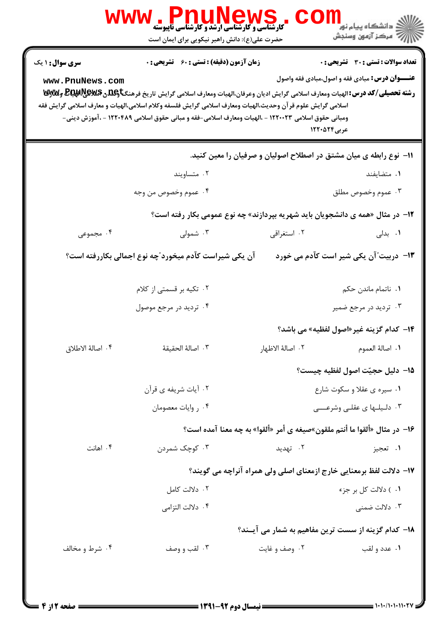|                                           | حضرت علی(ع): دانش راهبر نیکویی برای ایمان است                       |                                                                                                                                                                                                                                                                                                                                                        | ڪ دانشڪاه پيا <sub>م</sub> نور<br>۾ سرڪز آزمون وسنجش                                                  |
|-------------------------------------------|---------------------------------------------------------------------|--------------------------------------------------------------------------------------------------------------------------------------------------------------------------------------------------------------------------------------------------------------------------------------------------------------------------------------------------------|-------------------------------------------------------------------------------------------------------|
| <b>سری سوال : ۱ یک</b><br>www.PnuNews.com | <b>زمان آزمون (دقیقه) : تستی : 60 ٪ تشریحی : 0</b>                  | رشته تحصیلی/کد درس:الهیات ومعارف اسلامی گرایش ادیان وعرفان،الهیات ومعارف اسلامی گرایش تاریخ فرهنگتاویلگی @BRAR وWy<br>اسلامی گرایش علوم قر آن وحدیث،الهیات ومعارف اسلامی گرایش فلسفه وکلام اسلامی،الهیات و معارف اسلامی گرایش فقه<br>ومبانی حقوق اسلامی ۱۲۲۰۰۲۳ - ،الهیات ومعارف اسلامی-فقه و مبانی حقوق اسلامی ۱۲۲۰۴۸۹ - ،آموزش دینی-<br>عربی ۱۲۲۰۵۲۴ | <b>تعداد سوالات : تستی : 30 ٪ تشریحی : 0</b><br><b>عنـــوان درس:</b> مبادی فقه و اصول،مبادی فقه واصول |
|                                           |                                                                     | 1۱– نوع رابطه ی میان مشتق در اصطلاح اصولیان و صرفیان را معین کنید.                                                                                                                                                                                                                                                                                     |                                                                                                       |
|                                           | ۰۲ متساويند                                                         |                                                                                                                                                                                                                                                                                                                                                        | ۰۱ متضایفند                                                                                           |
|                                           | ۰۴ عموم وخصوص من وجه                                                |                                                                                                                                                                                                                                                                                                                                                        | ۰۳ عموم وخصوص مطلق                                                                                    |
|                                           |                                                                     | ۱۲- در مثال «همه ی دانشجویان باید شهریه بپردازند» چه نوع عمومی بکار رفته است؟                                                                                                                                                                                                                                                                          |                                                                                                       |
| ۰۴ مجموعی                                 | ۰۳ شمولی                                                            | ۰۲ استغراقی                                                                                                                                                                                                                                                                                                                                            | ۰۱ بدلی                                                                                               |
|                                           | آن یکی شیراست کآدم میخورد ّچه نوع اجمالی بکاررفته است؟              |                                                                                                                                                                                                                                                                                                                                                        | ۱۳- دربیت ؒ آن یکی شیر است کآدم می خورد                                                               |
|                                           | ۰۲ تکیه بر قسمتی از کلام                                            |                                                                                                                                                                                                                                                                                                                                                        | ٠١. ناتمام ماندن حكم                                                                                  |
|                                           | ۰۴ تردید در مرجع موصول                                              |                                                                                                                                                                                                                                                                                                                                                        | ۰۳ تردید در مرجع ضمیر                                                                                 |
|                                           |                                                                     |                                                                                                                                                                                                                                                                                                                                                        | ۱۴– کدام گزینه غیر«اصول لفظیه» می باشد؟                                                               |
| ۰۴ اصالهٔ الاطلاق                         | ٠٣ اصالهٔ الحقيقهٔ                                                  | ٢. اصالهٔ الاظهار                                                                                                                                                                                                                                                                                                                                      | ٠١. اصالة العموم                                                                                      |
|                                           |                                                                     |                                                                                                                                                                                                                                                                                                                                                        | 1۵– دليل حجيّت اصول لفظيه چيست؟                                                                       |
|                                           | ۰۲ آیات شریفه ی قرآن                                                |                                                                                                                                                                                                                                                                                                                                                        | ۰۱ سیره ی عقلا و سکوت شارع                                                                            |
|                                           | ۰۴ روايات معصومان                                                   |                                                                                                                                                                                                                                                                                                                                                        | ۰۳ دلیلها ی عقلبی وشرعــــی                                                                           |
|                                           |                                                                     | ۱۶- در مثال «ألقوا ما أنتم ملقون»صيغه ي أمر «ألقوا» به چه معنا آمده است؟                                                                                                                                                                                                                                                                               |                                                                                                       |
| ۰۴ اهانت                                  | ۰۳ کوچک شمردن                                                       | ۰۲ تهدید                                                                                                                                                                                                                                                                                                                                               | ۰۱ تعجيز                                                                                              |
|                                           | ۱۷– دلالت لفظ برمعنایی خارج ازمعنای اصلی ولی همراه آنراچه می گویند؟ |                                                                                                                                                                                                                                                                                                                                                        |                                                                                                       |
|                                           | ۰۲ دلالت کامل                                                       |                                                                                                                                                                                                                                                                                                                                                        | ۰۱) دلالت کل بر جزء                                                                                   |
|                                           | ۰۴ دلالت التزامي                                                    |                                                                                                                                                                                                                                                                                                                                                        | ۰۳ دلالت ضمنی                                                                                         |
|                                           |                                                                     | 18- كدام گزینه از سست ترین مفاهیم به شمار می آیـند؟                                                                                                                                                                                                                                                                                                    |                                                                                                       |
| ۰۴ شرط و مخالف                            | ۰۳ لقب و وصف                                                        | ۰۲ وصف و غايت                                                                                                                                                                                                                                                                                                                                          | ۰۱ عدد و لقب                                                                                          |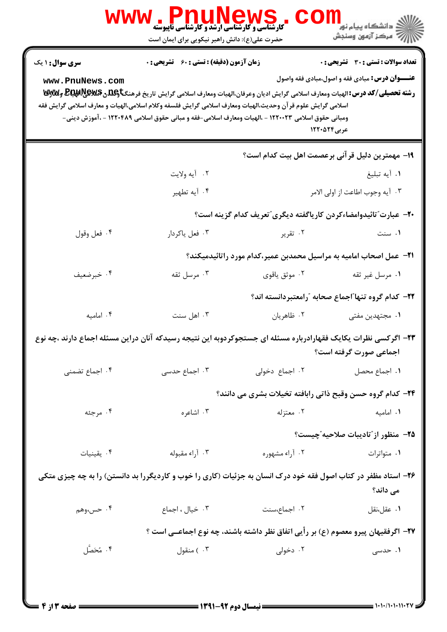|                                           | <b>WWW.PNUNEWS</b><br><b>کارشناسی و کارشناسی ارشد و کارشناسی ناپیوسته</b><br>حضرت علی(ع): دانش راهبر نیکویی برای ایمان است                                                                                                                                                                                                                                                                                |                                                                                   | رد دانشڪاه پيام نور ■<br>  <i> &gt;</i><br>  مرکز آزمون وسنڊش                                                  |
|-------------------------------------------|-----------------------------------------------------------------------------------------------------------------------------------------------------------------------------------------------------------------------------------------------------------------------------------------------------------------------------------------------------------------------------------------------------------|-----------------------------------------------------------------------------------|----------------------------------------------------------------------------------------------------------------|
| <b>سری سوال : ۱ یک</b><br>www.PnuNews.com | <b>زمان آزمون (دقیقه) : تستی : 60 ٪ تشریحی : 0</b><br>رشته تحصیلی/کد درس: الهیات ومعارف اسلامی گرایش ادیان وعرفان،الهیات ومعارف اسلامی گرایش تاریخ فرهنگتاویلگی Bلیکاپیلایالآلاویلایی<br>اسلامی گرایش علوم قر آن وحدیث،الهیات ومعارف اسلامی گرایش فلسفه وکلام اسلامی،الهیات و معارف اسلامی گرایش فقه<br>ومبانی حقوق اسلامی ۱۲۲۰۰۲۳ - ،الهیات ومعارف اسلامی-فقه و مبانی حقوق اسلامی ۱۲۲۰۴۸۹ - ،آموزش دینی- |                                                                                   | تعداد سوالات : تستي : 30 ٪ تشريحي : 0<br><b>عنـــوان درس:</b> مبادی فقه و اصول،مبادی فقه واصول<br>عربی ۱۲۲۰۵۲۴ |
|                                           |                                                                                                                                                                                                                                                                                                                                                                                                           |                                                                                   | 19- مهمترین دلیل قر آنی برعصمت اهل بیت کدام است؟                                                               |
|                                           | ٢. آيه ولايت                                                                                                                                                                                                                                                                                                                                                                                              |                                                                                   | ١. أيه تبليغ                                                                                                   |
|                                           | ۰۴ آيه تطهير                                                                                                                                                                                                                                                                                                                                                                                              |                                                                                   | ٠٣ آيه وجوب اطاعت از اولى الامر                                                                                |
|                                           |                                                                                                                                                                                                                                                                                                                                                                                                           | ۲۰- عبارت"تائیدوامضاءکردن کاریاگفته دیگری"تعریف کدام گزینه است؟                   |                                                                                                                |
| ۰۴ فعل وقول                               | ۰۳ فعل ياكردار                                                                                                                                                                                                                                                                                                                                                                                            | ۰۲ تقریر                                                                          | ۰۱ سنت                                                                                                         |
|                                           |                                                                                                                                                                                                                                                                                                                                                                                                           | ۲۱−  عمل اصحاب امامیه به مراسیل محمدبن عمیر،کدام مورد راتائیدمیکند؟               |                                                                                                                |
| ۰۴ خبرضعيف                                | ۰۳ مرسل ثقه                                                                                                                                                                                                                                                                                                                                                                                               | ۰۲ موثق یاقوی                                                                     | ٠١ مرسل غير ثقه                                                                                                |
|                                           |                                                                                                                                                                                                                                                                                                                                                                                                           |                                                                                   | ۲۲– کدام گروه تنها ؒاجماع صحابه ؒرامعتبردانسته اند؟                                                            |
| ۰۴ امامیه                                 | ۰۳ اهل سنت                                                                                                                                                                                                                                                                                                                                                                                                | ۰۲ ظاهريان                                                                        | ۰۱ مجتهدین مفتی                                                                                                |
|                                           | ۲۳– اگرکسی نظرات یکایک فقهارادرباره مسئله ای جستجوکردوبه این نتیجه رسیدکه آنان دراین مسئله اجماع دارند ،چه نوع                                                                                                                                                                                                                                                                                            |                                                                                   | اجماعی صورت گرفته است؟                                                                                         |
| ۰۴ اجماع تضمنى                            | ۰۳ اجماع حدسی                                                                                                                                                                                                                                                                                                                                                                                             | ۰۲ اجماع دخولی                                                                    | ٠١. اجماع محصل                                                                                                 |
|                                           |                                                                                                                                                                                                                                                                                                                                                                                                           | ۲۴- کدام گروه حسن وقبح ذاتی رابافته تخیلات بشری می دانند؟                         |                                                                                                                |
| ۰۴ مرجئه                                  | ۰۳ اشاعره                                                                                                                                                                                                                                                                                                                                                                                                 | ۰۲ معتزله                                                                         | ۰۱ امامیه                                                                                                      |
|                                           |                                                                                                                                                                                                                                                                                                                                                                                                           |                                                                                   | ۲۵− منظور از″تادیبات صلاحیه″چیست؟                                                                              |
| ۰۴ يقينيات                                | ۰۳ آراء مقبوله                                                                                                                                                                                                                                                                                                                                                                                            | ۰۲ آراء مشهوره                                                                    | ۰۱ متواترات                                                                                                    |
|                                           | ۲۶- استاد مظفر در کتاب اصول فقه خود درک انسان به جزئیات (کاری را خوب و کاردیگررا بد دانستن) را به چه چیزی متکی                                                                                                                                                                                                                                                                                            |                                                                                   | می داند؟                                                                                                       |
| ۴. حس،وهم                                 | ۰۳ خیال ، اجماع                                                                                                                                                                                                                                                                                                                                                                                           | ۲. اجماع،سنت                                                                      | ٠١. عقل،نقل                                                                                                    |
|                                           |                                                                                                                                                                                                                                                                                                                                                                                                           | ۲۷– اگرفقیهان پیرو معصوم (ع) بر رأیی اتفاق نظر داشته باشند، چه نوع اجماعــی است ؟ |                                                                                                                |
| ۰۴ مُخَصَّل                               | ۰۳ ) منقول                                                                                                                                                                                                                                                                                                                                                                                                | ۰۲ دخولی                                                                          | ۰۱ حدسی                                                                                                        |
|                                           |                                                                                                                                                                                                                                                                                                                                                                                                           |                                                                                   |                                                                                                                |